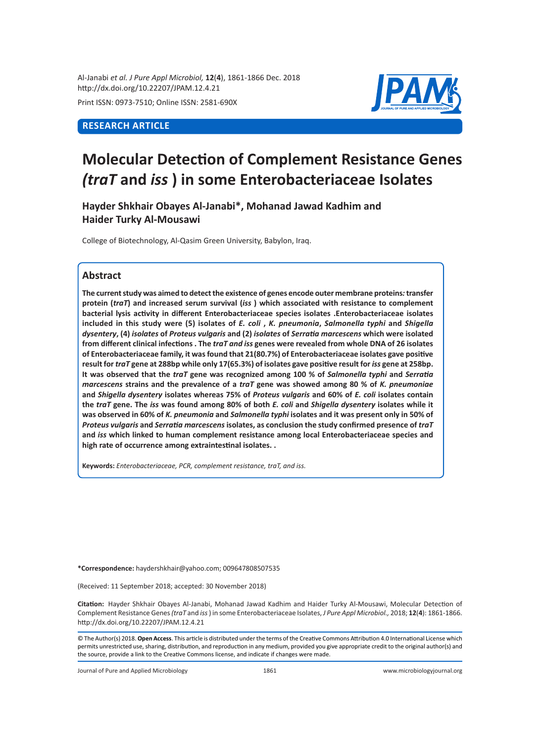Al-Janabi *et al. J Pure Appl Microbiol,* **12**(**4**), 1861-1866 Dec. 2018 http://dx.doi.org/10.22207/JPAM.12.4.21

Print ISSN: 0973-7510; Online ISSN: 2581-690X

## **RESEARCH ARTICLE**



# **Molecular Detection of Complement Resistance Genes**  *(traT* **and** *iss* **) in some Enterobacteriaceae Isolates**

**Hayder Shkhair Obayes Al-Janabi\*, Mohanad Jawad Kadhim and Haider Turky Al-Mousawi**

College of Biotechnology, Al-Qasim Green University, Babylon, Iraq.

## **Abstract**

**The current study was aimed to detect the existence of genes encode outer membrane proteins***:* **transfer protein (***traT***) and increased serum survival (***iss* **) which associated with resistance to complement bacterial lysis activity in different Enterobacteriaceae species isolates .Enterobacteriaceae isolates included in this study were (5) isolates of** *E. coli* **,** *K. pneumonia***,** *Salmonella typhi* **and** *Shigella dysentery***, (4)** *isolates* **of** *Proteus vulgaris* **and (2)** *isolates* **of** *Serratia marcescens* **which were isolated from different clinical infections . The** *traT and iss* **genes were revealed from whole DNA of 26 isolates of Enterobacteriaceae family, it was found that 21(80.7%) of Enterobacteriaceae isolates gave positive result for** *traT* **gene at 288bp while only 17(65.3%) of isolates gave positive result for** *iss* **gene at 258bp. It was observed that the** *traT* **gene was recognized among 100 % of** *Salmonella typhi* **and** *Serratia marcescens* **strains and the prevalence of a** *traT* **gene was showed among 80 % of** *K. pneumoniae* **and** *Shigella dysentery* **isolates whereas 75% of** *Proteus vulgaris* **and 60% of** *E. coli* **isolates contain the** *traT* **gene. The** *iss* **was found among 80% of both** *E. coli* **and** *Shigella dysentery* **isolates while it was observed in 60% of** *K. pneumonia* **and** *Salmonella typhi* **isolates and it was present only in 50% of**  *Proteus vulgaris* **and** *Serratia marcescens* **isolates, as conclusion the study confirmed presence of** *traT* **and** *iss* **which linked to human complement resistance among local Enterobacteriaceae species and high rate of occurrence among extraintestinal isolates. .**

**Keywords:** *Enterobacteriaceae, PCR, complement resistance, traT, and iss.*

**\*Correspondence:** haydershkhair@yahoo.com; 009647808507535

(Received: 11 September 2018; accepted: 30 November 2018)

**Citation:**  Hayder Shkhair Obayes Al-Janabi, Mohanad Jawad Kadhim and Haider Turky Al-Mousawi, Molecular Detection of Complement Resistance Genes *(traT* and *iss* ) in some Enterobacteriaceae Isolates, *J Pure Appl Microbiol.,* 2018; **12**(**4**): 1861-1866. http://dx.doi.org/10.22207/JPAM.12.4.21

© The Author(s) 2018. **Open Access**. This article is distributed under the terms of the Creative Commons Attribution 4.0 International License which permits unrestricted use, sharing, distribution, and reproduction in any medium, provided you give appropriate credit to the original author(s) and the source, provide a link to the Creative Commons license, and indicate if changes were made.

Journal of Pure and Applied Microbiology 1861 www.microbiologyjournal.org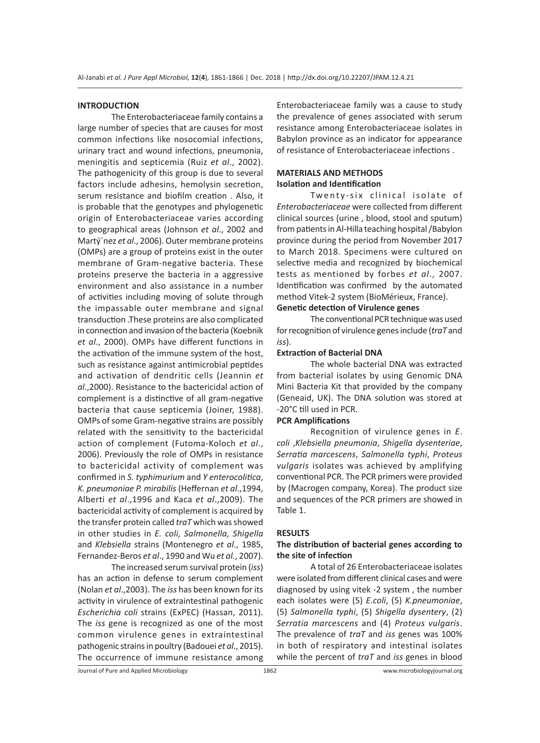#### **INTRODUCTION**

The Enterobacteriaceae family contains a large number of species that are causes for most common infections like nosocomial infections, urinary tract and wound infections, pneumonia, meningitis and septicemia (Ruiz *et al*., 2002). The pathogenicity of this group is due to several factors include adhesins, hemolysin secretion, serum resistance and biofilm creation . Also, it is probable that the genotypes and phylogenetic origin of Enterobacteriaceae varies according to geographical areas (Johnson *et al*., 2002 and Martý´nez *et al*., 2006). Outer membrane proteins (OMPs) are a group of proteins exist in the outer membrane of Gram-negative bacteria. These proteins preserve the bacteria in a aggressive environment and also assistance in a number of activities including moving of solute through the impassable outer membrane and signal transduction .These proteins are also complicated in connection and invasion of the bacteria (Koebnik *et al*., 2000). OMPs have different functions in the activation of the immune system of the host, such as resistance against antimicrobial peptides and activation of dendritic cells (Jeannin *et al*.,2000). Resistance to the bactericidal action of complement is a distinctive of all gram-negative bacteria that cause septicemia (Joiner, 1988). OMPs of some Gram-negative strains are possibly related with the sensitivity to the bactericidal action of complement (Futoma-Koloch *et al*., 2006). Previously the role of OMPs in resistance to bactericidal activity of complement was confirmed in *S. typhimurium* and *Y enterocolitica*, *K. pneumoniae P. mirabilis* (Heffernan *et al*.,1994, Alberti *et al*.,1996 and Kaca *et al*.,2009). The bactericidal activity of complement is acquired by the transfer protein called *traT* which was showed in other studies in *E. coli, Salmonella, Shigella*  and *Klebsiella* strains (Montenegro *et al*., 1985, Fernandez-Beros *et al*., 1990 and Wu *et al.*, 2007). The increased serum survival protein (*iss*)

has an action in defense to serum complement (Nolan *et al*.,2003). The *iss* has been known for its activity in virulence of extraintestinal pathogenic *Escherichia coli* strains (ExPEC) (Hassan, 2011). The *iss* gene is recognized as one of the most common virulence genes in extraintestinal pathogenic strains in poultry (Badouei *et al*., 2015). The occurrence of immune resistance among Enterobacteriaceae family was a cause to study the prevalence of genes associated with serum resistance among Enterobacteriaceae isolates in Babylon province as an indicator for appearance of resistance of Enterobacteriaceae infections .

#### **MATERIALS AND METHODS Isolation and Identification**

Twenty-six clinical isolate of *Enterobacteriaceae* were collected from different clinical sources (urine , blood, stool and sputum) from patients in Al-Hilla teaching hospital /Babylon province during the period from November 2017 to March 2018. Specimens were cultured on selective media and recognized by biochemical tests as mentioned by forbes *et al*., 2007. Identification was confirmed by the automated method Vitek-2 system (BioMérieux, France).

### **Genetic detection of Virulence genes**

The conventional PCR technique was used for recognition of virulence genes include (*traT* and *iss*).

#### **Extraction of Bacterial DNA**

The whole bacterial DNA was extracted from bacterial isolates by using Genomic DNA Mini Bacteria Kit that provided by the company (Geneaid, UK). The DNA solution was stored at -20°C till used in PCR.

#### **PCR Amplifications**

Recognition of virulence genes in *E*. *coli* ,*Klebsiella pneumonia*, *Shigella dysenteriae*, *Serratia marcescens*, *Salmonella typhi*, *Proteus vulgaris* isolates was achieved by amplifying conventional PCR. The PCR primers were provided by (Macrogen company, Korea). The product size and sequences of the PCR primers are showed in Table 1.

#### **RESULTS**

#### **The distribution of bacterial genes according to the site of infection**

A total of 26 Enterobacteriaceae isolates were isolated from different clinical cases and were diagnosed by using vitek -2 system , the number each isolates were (5) *E*.*coli*, (5) *K.pneumoniae*, (5) *Salmonella typhi*, (5) *Shigella dysentery*, (2) *Serratia marcescens* and (4) *Proteus vulgaris*. The prevalence of *traT* and *iss* genes was 100% in both of respiratory and intestinal isolates while the percent of *traT* and *iss* genes in blood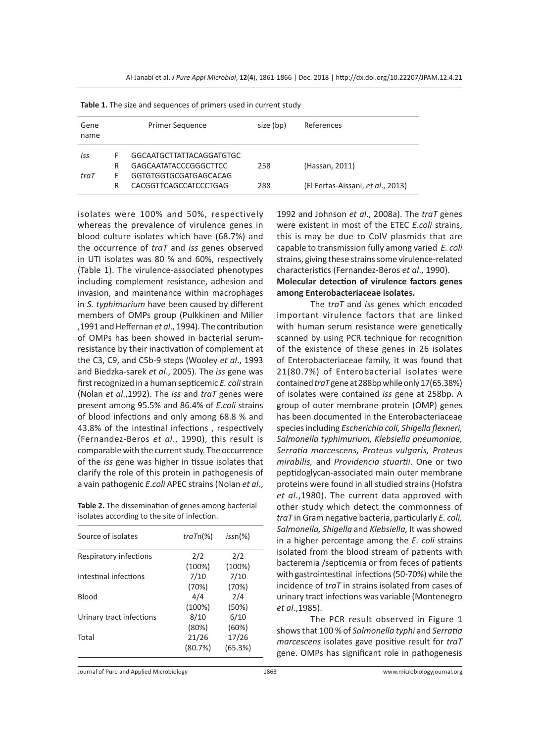| <b>Table 1.</b> The size and sequences or primers asculin carrent study |   |                                 |           |                                   |  |  |  |  |
|-------------------------------------------------------------------------|---|---------------------------------|-----------|-----------------------------------|--|--|--|--|
| Gene<br>name                                                            |   | <b>Primer Sequence</b>          | size (bp) | References                        |  |  |  |  |
| Iss                                                                     | F | <b>GGCAATGCTTATTACAGGATGTGC</b> |           |                                   |  |  |  |  |
|                                                                         | R | <b>GAGCAATATACCCGGGCTTCC</b>    | 258       | (Hassan, 2011)                    |  |  |  |  |
| traT                                                                    |   | GGTGTGGTGCGATGAGCACAG           |           |                                   |  |  |  |  |
|                                                                         | R | CACGGTTCAGCCATCCCTGAG           | 288       | (El Fertas-Aissani, et al., 2013) |  |  |  |  |

**Table 1.** The size and sequences of primers used in current study

isolates were 100% and 50%, respectively whereas the prevalence of virulence genes in blood culture isolates which have (68.7%) and the occurrence of *traT* and *iss* genes observed in UTI isolates was 80 % and 60%, respectively (Table 1). The virulence-associated phenotypes including complement resistance, adhesion and invasion, and maintenance within macrophages in *S. typhimurium* have been caused by different members of OMPs group (Pulkkinen and Miller ,1991 and Heffernan *et al*., 1994). The contribution of OMPs has been showed in bacterial serumresistance by their inactivation of complement at the C3, C9, and C5b-9 steps (Wooley *et al*., 1993 and Biedzka-sarek *et al*., 2005). The *iss* gene was first recognized in a human septicemic *E. coli* strain (Nolan *et al*.,1992). The *iss* and *traT* genes were present among 95.5% and 86.4% of *E.coli* strains of blood infections and only among 68.8 % and 43.8% of the intestinal infections , respectively (Fernandez-Beros *et al*., 1990), this result is comparable with the current study. The occurrence of the *iss* gene was higher in tissue isolates that clarify the role of this protein in pathogenesis of a vain pathogenic *E*.*coli* APEC strains (Nolan *et al*.,

**Table 2.** The dissemination of genes among bacterial isolates according to the site of infection.

| Source of isolates       | $traTn(\%)$ | $issn(\%)$ |
|--------------------------|-------------|------------|
| Respiratory infections   | 2/2         | 2/2        |
|                          | (100%)      | (100%)     |
| Intestinal infections    | 7/10        | 7/10       |
|                          | (70%)       | (70%)      |
| <b>Blood</b>             | 4/4         | 2/4        |
|                          | (100%)      | (50%)      |
| Urinary tract infections | 8/10        | 6/10       |
|                          | (80%)       | (60%)      |
| Total                    | 21/26       | 17/26      |
|                          | (80.7%)     | (65.3%)    |
|                          |             |            |

1992 and Johnson *et al*., 2008a). The *traT* genes were existent in most of the ETEC *E.coli* strains, this is may be due to ColV plasmids that are capable to transmission fully among varied *E. coli* strains, giving these strains some virulence-related characteristics (Fernandez-Beros *et al*., 1990).

#### **Molecular detection of virulence factors genes among Enterobacteriaceae isolates.**

The *traT* and *iss* genes which encoded important virulence factors that are linked with human serum resistance were genetically scanned by using PCR technique for recognition of the existence of these genes in 26 isolates of Enterobacteriaceae family, it was found that 21(80.7%) of Enterobacterial isolates were contained *traT* gene at 288bp while only 17(65.38%) of isolates were contained *iss* gene at 258bp. A group of outer membrane protein (OMP) genes has been documented in the Enterobacteriaceae species including *Escherichia coli, Shigella flexneri, Salmonella typhimurium, Klebsiella pneumoniae, Serratia marcescens, Proteus vulgaris, Proteus mirabilis,* and *Providencia stuartii*. One or two peptidoglycan-associated main outer membrane proteins were found in all studied strains (Hofstra *et al*.,1980). The current data approved with other study which detect the commonness of *traT* in Gram negative bacteria, particularly *E. coli, Salmonella, Shigella* and *Klebsiella,* It was showed in a higher percentage among the *E. coli* strains isolated from the blood stream of patients with bacteremia /septicemia or from feces of patients with gastrointestinal infections (50-70%) while the incidence of *traT* in strains isolated from cases of urinary tract infections was variable (Montenegro *et al*.,1985).

The PCR result observed in Figure 1 shows that 100 % of *Salmonella typhi* and *Serratia marcescens* isolates gave positive result for *traT* gene. OMPs has significant role in pathogenesis

Journal of Pure and Applied Microbiology 1863 www.microbiologyjournal.org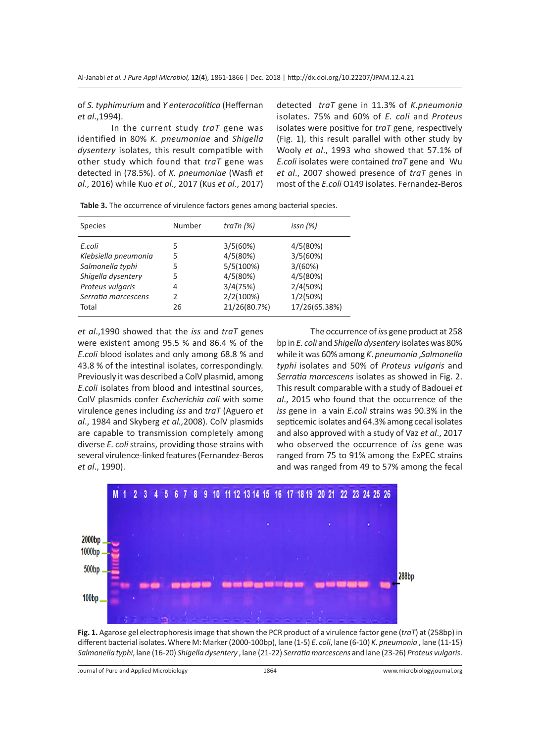of *S. typhimurium* and *Y enterocolitica* (Heffernan *et al*.,1994).

In the current study *traT* gene was identified in 80% *K. pneumoniae* and *Shigella dysentery* isolates, this result compatible with other study which found that *traT* gene was detected in (78.5%). of *K. pneumoniae* (Wasfi *et al*., 2016) while Kuo *et al*., 2017 (Kus *et al*., 2017) detected *traT* gene in 11.3% of *K.pneumonia* isolates. 75% and 60% of *E. coli* and *Proteus* isolates were positive for *traT* gene, respectively (Fig. 1), this result parallel with other study by Wooly *et al*., 1993 who showed that 57.1% of *E.coli* isolates were contained *traT* gene and Wu *et al*., 2007 showed presence of *traT* genes in most of the *E.coli* O149 isolates. Fernandez-Beros

| <b>Species</b>       | Number | traTn $(%)$  | issn $(%)$    |
|----------------------|--------|--------------|---------------|
| E.coli               | 5      | 3/5(60%)     | 4/5(80%)      |
| Klebsiella pneumonia | 5      | 4/5(80%)     | 3/5(60%)      |
| Salmonella typhi     | 5      | 5/5(100%)    | 3/(60%)       |
| Shigella dysentery   | 5      | 4/5(80%)     | 4/5(80%)      |
| Proteus vulgaris     | 4      | 3/4(75%)     | 2/4(50%)      |
| Serratia marcescens  | 2      | 2/2(100%)    | 1/2(50%)      |
| Total                | 26     | 21/26(80.7%) | 17/26(65.38%) |
|                      |        |              |               |

**Table 3.** The occurrence of virulence factors genes among bacterial species.

*et al*.,1990 showed that the *iss* and *traT* genes were existent among 95.5 % and 86.4 % of the *E.coli* blood isolates and only among 68.8 % and 43.8 % of the intestinal isolates, correspondingly. Previously it was described a ColV plasmid, among *E.coli* isolates from blood and intestinal sources, ColV plasmids confer *Escherichia coli* with some virulence genes including *iss* and *traT* (Aguero *et al*., 1984 and Skyberg *et al.,*2008). ColV plasmids are capable to transmission completely among diverse *E. coli* strains, providing those strains with several virulence-linked features (Fernandez-Beros *et al*., 1990).

The occurrence of *iss* gene product at 258 bp in *E. coli* and *Shigella dysentery* isolates was 80% while it was 60% among *K*. *pneumonia* ,*Salmonella typhi* isolates and 50% of *Proteus vulgaris* and *Serratia marcescens* isolates as showed in Fig. 2. This result comparable with a study of Badouei *et al*., 2015 who found that the occurrence of the *iss* gene in a vain *E.coli* strains was 90.3% in the septicemic isolates and 64.3% among cecal isolates and also approved with a study of Vaz *et al*., 2017 who observed the occurrence of *iss* gene was ranged from 75 to 91% among the ExPEC strains and was ranged from 49 to 57% among the fecal



**Fig. 1.** Agarose gel electrophoresis image that shown the PCR product of a virulence factor gene (*traT*) at (258bp) in different bacterial isolates. Where M: Marker (2000-100bp), lane (1-5) *E*. *coli*, lane (6-10) *K*. *pneumonia* , lane (11-15) *Salmonella typhi*, lane (16-20) *Shigella dysentery* , lane (21-22) *Serratiamarcescens* and lane (23-26) *Proteus vulgaris*.

Journal of Pure and Applied Microbiology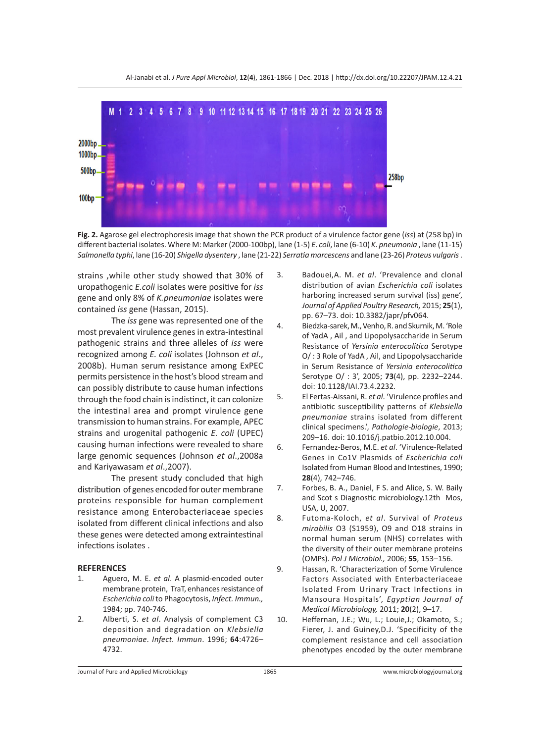

**Fig. 2.** Agarose gel electrophoresis image that shown the PCR product of a virulence factor gene (*iss*) at (258 bp) in different bacterial isolates. Where M: Marker (2000-100bp), lane (1-5) *E*. *coli*, lane (6-10) *K*. *pneumonia* , lane (11-15) *Salmonella typhi*, lane (16-20) *Shigella dysentery* , lane (21-22) *Serratiamarcescens* and lane (23-26) *Proteus vulgaris* .

strains ,while other study showed that 30% of uropathogenic *E.coli* isolates were positive for *iss* gene and only 8% of *K.pneumoniae* isolates were contained *iss* gene (Hassan, 2015).

The *iss* gene was represented one of the most prevalent virulence genes in extra-intestinal pathogenic strains and three alleles of *iss* were recognized among *E. coli* isolates (Johnson *et al*., 2008b). Human serum resistance among ExPEC permits persistence in the host's blood stream and can possibly distribute to cause human infections through the food chain is indistinct, it can colonize the intestinal area and prompt virulence gene transmission to human strains. For example, APEC strains and urogenital pathogenic *E. coli* (UPEC) causing human infections were revealed to share large genomic sequences (Johnson *et al*.,2008a and Kariyawasam *et al*.,2007).

The present study concluded that high distribution of genes encoded for outer membrane proteins responsible for human complement resistance among Enterobacteriaceae species isolated from different clinical infections and also these genes were detected among extraintestinal infections isolates .

#### **REFERENCES**

- 1. Aguero, M. E. *et al*. A plasmid-encoded outer membrane protein, TraT, enhances resistance of *Escherichia coli* to Phagocytosis, *Infect. Immun.,*  1984; pp. 740-746.
- 2. Alberti, S. *et al*. Analysis of complement C3 deposition and degradation on *Klebsiella pneumoniae*. *Infect. Immun*. 1996; **64**:4726– 4732.
- 3. Badouei,A. M. *et al*. 'Prevalence and clonal distribution of avian *Escherichia coli* isolates harboring increased serum survival (iss) gene', *Journal of Applied Poultry Research,* 2015; **25**(1), pp. 67–73. doi: 10.3382/japr/pfv064.
- 4. Biedzka-sarek, M., Venho, R. and Skurnik, M. 'Role of YadA , Ail , and Lipopolysaccharide in Serum Resistance of *Yersinia enterocolitica* Serotype O/ : 3 Role of YadA , Ail, and Lipopolysaccharide in Serum Resistance of *Yersinia enterocolitica* Serotype O/ : 3', 2005; **73**(4), pp. 2232–2244. doi: 10.1128/IAI.73.4.2232.
- 5. El Fertas-Aissani, R. *et al*. 'Virulence profiles and antibiotic susceptibility patterns of *Klebsiella pneumoniae* strains isolated from different clinical specimens.', *Pathologie-biologie*, 2013; 209–16. doi: 10.1016/j.patbio.2012.10.004.
- 6. Fernandez-Beros, M.E. *et al*. 'Virulence-Related Genes in Co1V Plasmids of *Escherichia coli* Isolated from Human Blood and Intestines, 1990; **28**(4), 742–746.
- 7. Forbes, B. A., Daniel, F S. and Alice, S. W. Baily and Scot s Diagnostic microbiology.12th Mos, USA, U, 2007.
- 8. Futoma-Koloch, *et al*. Survival of *Proteus mirabilis* O3 (S1959), O9 and O18 strains in normal human serum (NHS) correlates with the diversity of their outer membrane proteins (OMPs). *Pol J Microbiol.,* 2006; **55**, 153–156.
- 9. Hassan, R. 'Characterization of Some Virulence Factors Associated with Enterbacteriaceae Isolated From Urinary Tract Infections in Mansoura Hospitals', *Egyptian Journal of Medical Microbiology,* 2011; **20**(2), 9–17.
- 10. Heffernan, J.E.; Wu, L.; Louie,J.; Okamoto, S.; Fierer, J. and Guiney,D.J. 'Specificity of the complement resistance and cell association phenotypes encoded by the outer membrane